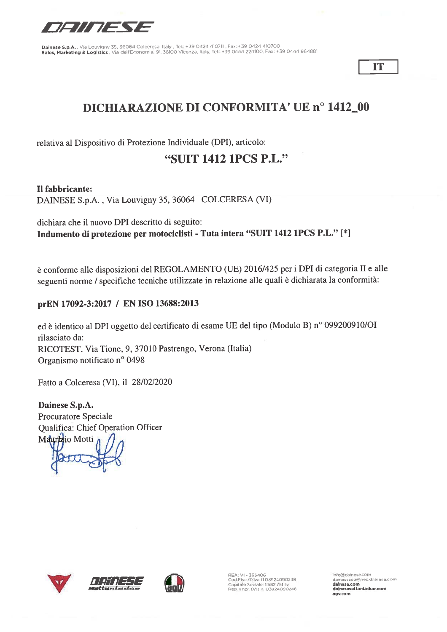

IT

## **DICHIARAZIONE DI CONFORMITA' UE nº 1412\_00**

relativa al Dispositivo di Protezione Individuale (DPI), articolo:

### "SUIT 1412 1PCS P.L."

Il fabbricante:

DAINESE S.p.A., Via Louvigny 35, 36064 COLCERESA (VI)

dichiara che il nuovo DPI descritto di seguito: Indumento di protezione per motociclisti - Tuta intera "SUIT 1412 1PCS P.L." [\*]

è conforme alle disposizioni del REGOLAMENTO (UE) 2016/425 per i DPI di categoria II e alle seguenti norme / specifiche tecniche utilizzate in relazione alle quali è dichiarata la conformità:

#### prEN 17092-3:2017 / EN ISO 13688:2013

ed è identico al DPI oggetto del certificato di esame UE del tipo (Modulo B) nº 099200910/OI rilasciato da: RICOTEST, Via Tione, 9, 37010 Pastrengo, Verona (Italia) Organismo notificato nº 0498

Fatto a Colceresa (VI), il 28/02/2020

Dainese S.p.A. Procuratore Speciale Qualifica: Chief Operation Officer Maurizio Motti







REA: VI - 365406<br>Cod.Fisc./P.Iva IT03924090248 Capitale Sociale 1582.751 l.v.<br>Reg. Impr. (VI) n. 03924090248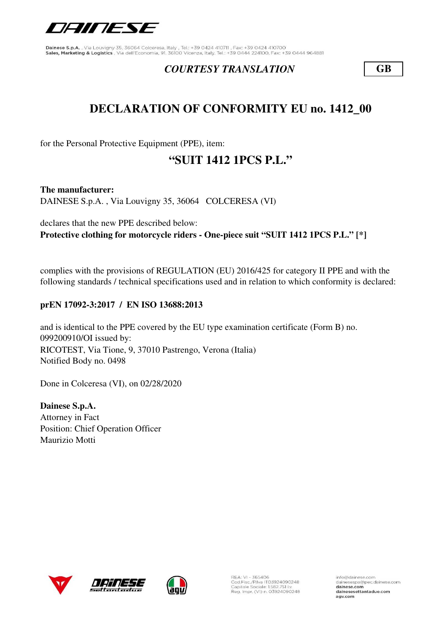

#### *COURTESY TRANSLATION* **GB**

## **DECLARATION OF CONFORMITY EU no. 1412\_00**

for the Personal Protective Equipment (PPE), item:

### **"SUIT 1412 1PCS P.L."**

**The manufacturer:** DAINESE S.p.A. , Via Louvigny 35, 36064 COLCERESA (VI)

declares that the new PPE described below: **Protective clothing for motorcycle riders - One-piece suit "SUIT 1412 1PCS P.L." [\*]**

complies with the provisions of REGULATION (EU) 2016/425 for category II PPE and with the following standards / technical specifications used and in relation to which conformity is declared:

#### **prEN 17092-3:2017 / EN ISO 13688:2013**

RICOTEST, Via Tione, 9, 37010 Pastrengo, Verona (Italia) Notified Body no. 0498 and is identical to the PPE covered by the EU type examination certificate (Form B) no. 099200910/OI issued by:

Done in Colceresa (VI), on 02/28/2020

**Dainese S.p.A.** Attorney in Fact Position: Chief Operation Officer Maurizio Motti





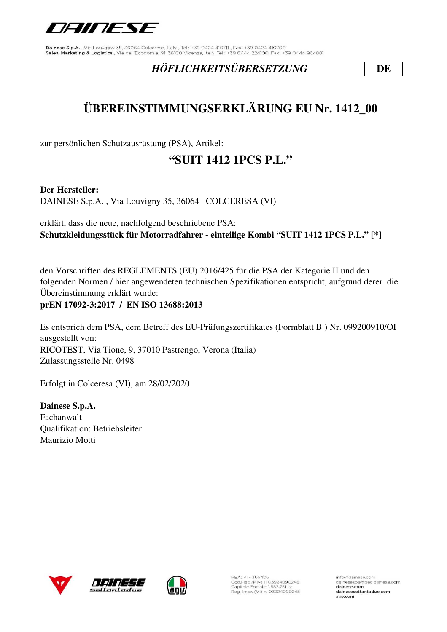

### *HÖFLICHKEITSÜBERSETZUNG* **DE**

# **ÜBEREINSTIMMUNGSERKLÄRUNG EU Nr. 1412\_00**

zur persönlichen Schutzausrüstung (PSA), Artikel:

## **"SUIT 1412 1PCS P.L."**

**Der Hersteller:**

DAINESE S.p.A. , Via Louvigny 35, 36064 COLCERESA (VI)

erklärt, dass die neue, nachfolgend beschriebene PSA: **Schutzkleidungsstück für Motorradfahrer - einteilige Kombi "SUIT 1412 1PCS P.L." [\*]**

den Vorschriften des REGLEMENTS (EU) 2016/425 für die PSA der Kategorie II und den folgenden Normen / hier angewendeten technischen Spezifikationen entspricht, aufgrund derer die Übereinstimmung erklärt wurde:

#### **prEN 17092-3:2017 / EN ISO 13688:2013**

Es entsprich dem PSA, dem Betreff des EU-Prüfungszertifikates (Formblatt B ) Nr. 099200910/OI ausgestellt von: RICOTEST, Via Tione, 9, 37010 Pastrengo, Verona (Italia) Zulassungsstelle Nr. 0498

Erfolgt in Colceresa (VI), am 28/02/2020

**Dainese S.p.A.** Fachanwalt Qualifikation: Betriebsleiter Maurizio Motti







REA: VI - 365406<br>Cod.Fisc./P.Iva IT03924090248<br>Capitale Sociale: 1.582.751 Lv. Reg. Impr. (VI) n. 03924090248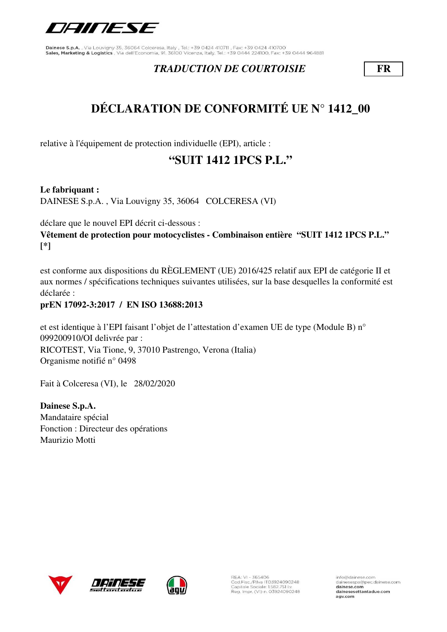

#### *TRADUCTION DE COURTOISIE* **FR**

# **DÉCLARATION DE CONFORMITÉ UE N° 1412\_00**

relative à l'équipement de protection individuelle (EPI), article :

## **"SUIT 1412 1PCS P.L."**

**Le fabriquant :**

DAINESE S.p.A. , Via Louvigny 35, 36064 COLCERESA (VI)

déclare que le nouvel EPI décrit ci-dessous :

**Vêtement de protection pour motocyclistes - Combinaison entière "SUIT 1412 1PCS P.L." [\*]**

est conforme aux dispositions du RÈGLEMENT (UE) 2016/425 relatif aux EPI de catégorie II et aux normes / spécifications techniques suivantes utilisées, sur la base desquelles la conformité est déclarée :

#### **prEN 17092-3:2017 / EN ISO 13688:2013**

et est identique à l'EPI faisant l'objet de l'attestation d'examen UE de type (Module B) n° 099200910/OI delivrée par : RICOTEST, Via Tione, 9, 37010 Pastrengo, Verona (Italia) Organisme notifié n° 0498

Fait à Colceresa (VI), le 28/02/2020

**Dainese S.p.A.** Mandataire spécial Fonction : Directeur des opérations Maurizio Motti





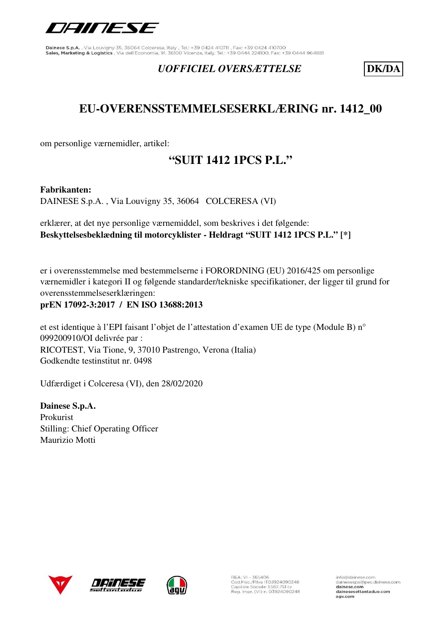

### *UOFFICIEL OVERSÆTTELSE* **DK/DA**

## **EU-OVERENSSTEMMELSESERKLÆRING nr. 1412\_00**

om personlige værnemidler, artikel:

## **"SUIT 1412 1PCS P.L."**

#### **Fabrikanten:**

DAINESE S.p.A. , Via Louvigny 35, 36064 COLCERESA (VI)

erklærer, at det nye personlige værnemiddel, som beskrives i det følgende: **Beskyttelsesbeklædning til motorcyklister - Heldragt "SUIT 1412 1PCS P.L." [\*]**

er i overensstemmelse med bestemmelserne i FORORDNING (EU) 2016/425 om personlige værnemidler i kategori II og følgende standarder/tekniske specifikationer, der ligger til grund for overensstemmelseserklæringen:

#### **prEN 17092-3:2017 / EN ISO 13688:2013**

et est identique à l'EPI faisant l'objet de l'attestation d'examen UE de type (Module B) n° 099200910/OI delivrée par : RICOTEST, Via Tione, 9, 37010 Pastrengo, Verona (Italia) Godkendte testinstitut nr. 0498

Udfærdiget i Colceresa (VI), den 28/02/2020

**Dainese S.p.A.** Prokurist Stilling: Chief Operating Officer Maurizio Motti







REA: VI - 365406<br>Cod.Fisc./P.Iva IT03924090248<br>Capitale Sociale: 1.582.751 Lv. Reg. Impr. (VI) n. 03924090248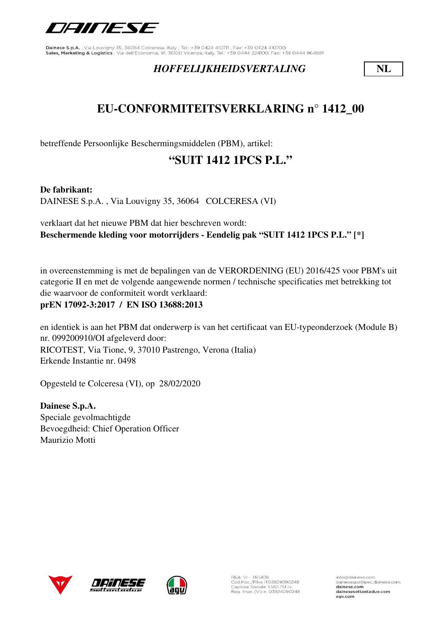

#### *HOFFELIJKHEIDSVERTALING* **NL**

## **EU-CONFORMITEITSVERKLARING n° 1412\_00**

betreffende Persoonlijke Beschermingsmiddelen (PBM), artikel:

## **"SUIT 1412 1PCS P.L."**

**De fabrikant:**

DAINESE S.p.A. , Via Louvigny 35, 36064 COLCERESA (VI)

verklaart dat het nieuwe PBM dat hier beschreven wordt: **Beschermende kleding voor motorrijders - Eendelig pak "SUIT 1412 1PCS P.L." [\*]**

in overeenstemming is met de bepalingen van de VERORDENING (EU) 2016/425 voor PBM's uit categorie II en met de volgende aangewende normen / technische specificaties met betrekking tot die waarvoor de conformiteit wordt verklaard:

**prEN 17092-3:2017 / EN ISO 13688:2013**

en identiek is aan het PBM dat onderwerp is van het certificaat van EU-typeonderzoek (Module B) nr. 099200910/OI afgeleverd door: RICOTEST, Via Tione, 9, 37010 Pastrengo, Verona (Italia) Erkende Instantie nr. 0498

Opgesteld te Colceresa (VI), op 28/02/2020

**Dainese S.p.A.** Speciale gevolmachtigde Bevoegdheid: Chief Operation Officer Maurizio Motti





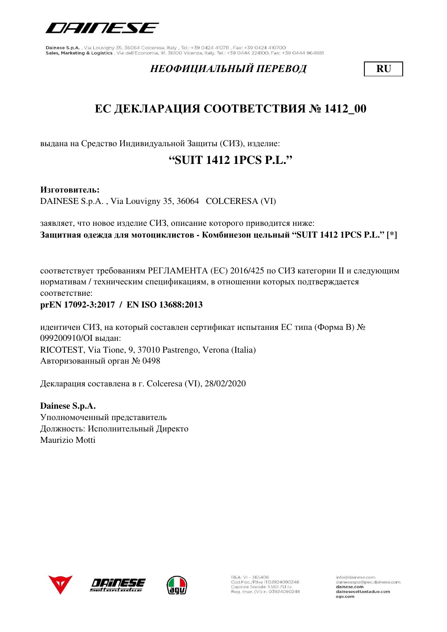

### *НЕОФИЦИАЛЬНЫЙ ПЕРЕВОД* **RU**

# **ЕС ДЕКЛАРАЦИЯ СООТВЕТСТВИЯ № 1412\_00**

выдана на Средство Индивидуальной Защиты (СИЗ), изделие:

## **"SUIT 1412 1PCS P.L."**

**Изготовитель:**

DAINESE S.p.A. , Via Louvigny 35, 36064 COLCERESA (VI)

заявляет, что новое изделие СИЗ, описание которого приводится ниже: **Защитная одежда для мотоциклистов - Комбинезон цельный "SUIT 1412 1PCS P.L." [\*]**

соответствует требованиям РЕГЛАМЕНТА (ЕС) 2016/425 по СИЗ категории II и следующим нормативам / техническим спецификациям, в отношении которых подтверждается соответствие:

**prEN 17092-3:2017 / EN ISO 13688:2013**

идентичен СИЗ, на который составлен сертификат испытания ЕС типа (Форма В) № 099200910/OI выдан: RICOTEST, Via Tione, 9, 37010 Pastrengo, Verona (Italia) Авторизованный орган № 0498

Декларация составлена в г. Colceresa (VI), 28/02/2020

**Dainese S.p.A.** Уполномоченный представитель Должность: Исполнительный Директо Maurizio Motti







REA: VI - 365406<br>Cod.Fisc./P.Iva IT03924090248<br>Capitale Sociale: 1.582.751 Lv. Reg. Impr. (VI) n. 03924090248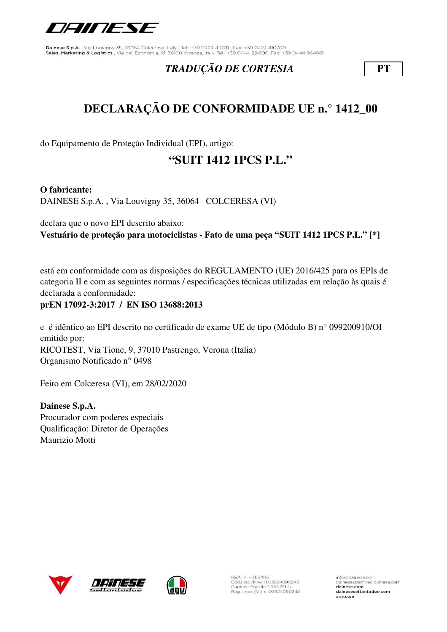

### *TRADUÇÃO DE CORTESIA* **PT**

# **DECLARAÇÃO DE CONFORMIDADE UE n.° 1412\_00**

do Equipamento de Proteção Individual (EPI), artigo:

### **"SUIT 1412 1PCS P.L."**

**O fabricante:**

DAINESE S.p.A. , Via Louvigny 35, 36064 COLCERESA (VI)

declara que o novo EPI descrito abaixo: **Vestuário de proteção para motociclistas - Fato de uma peça "SUIT 1412 1PCS P.L." [\*]**

está em conformidade com as disposições do REGULAMENTO (UE) 2016/425 para os EPIs de categoria II e com as seguintes normas / especificações técnicas utilizadas em relação às quais é declarada a conformidade:

**prEN 17092-3:2017 / EN ISO 13688:2013**

e é idêntico ao EPI descrito no certificado de exame UE de tipo (Módulo B) n° 099200910/OI emitido por: RICOTEST, Via Tione, 9, 37010 Pastrengo, Verona (Italia) Organismo Notificado n° 0498

Feito em Colceresa (VI), em 28/02/2020

**Dainese S.p.A.** Procurador com poderes especiais Qualificação: Diretor de Operações Maurizio Motti







REA: VI - 365406<br>Cod.Fisc./P.Iva IT03924090248<br>Capitale Sociale: 1.582.751 Lv. Reg. Impr. (VI) n. 03924090248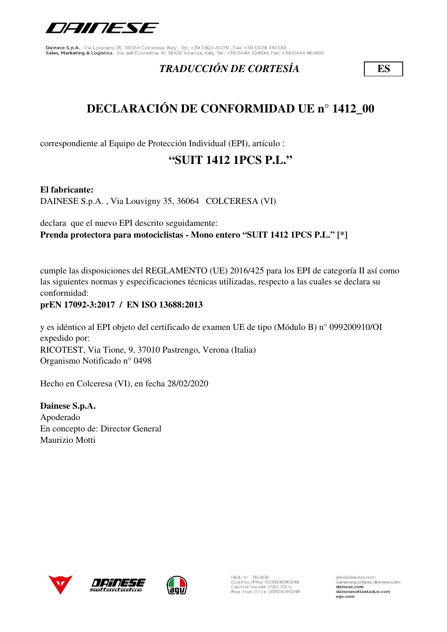

### *TRADUCCIÓN DE CORTESÍA* **ES**

## **DECLARACIÓN DE CONFORMIDAD UE n° 1412\_00**

correspondiente al Equipo de Protección Individual (EPI), artículo :

## **"SUIT 1412 1PCS P.L."**

#### **El fabricante:**

DAINESE S.p.A. , Via Louvigny 35, 36064 COLCERESA (VI)

declara que el nuevo EPI descrito seguidamente: **Prenda protectora para motociclistas - Mono entero "SUIT 1412 1PCS P.L." [\*]**

cumple las disposiciones del REGLAMENTO (UE) 2016/425 para los EPI de categoría II así como las siguientes normas y especificaciones técnicas utilizadas, respecto a las cuales se declara su conformidad:

#### **prEN 17092-3:2017 / EN ISO 13688:2013**

y es idéntico al EPI objeto del certificado de examen UE de tipo (Módulo B) n° 099200910/OI expedido por: RICOTEST, Via Tione, 9, 37010 Pastrengo, Verona (Italia) Organismo Notificado n° 0498

Hecho en Colceresa (VI), en fecha 28/02/2020

**Dainese S.p.A.** Apoderado En concepto de: Director General Maurizio Motti





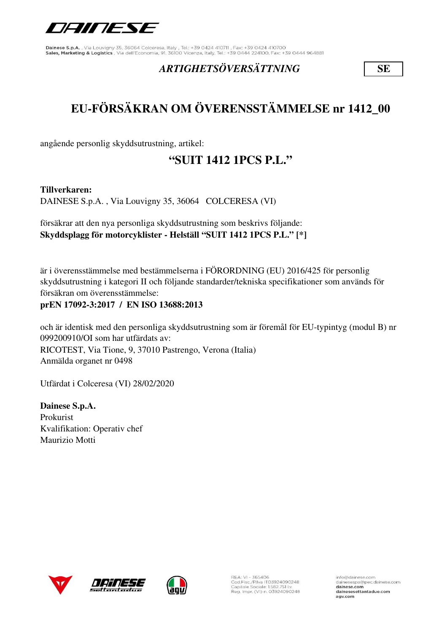

### *ARTIGHETSÖVERSÄTTNING* **SE**

# **EU-FÖRSÄKRAN OM ÖVERENSSTÄMMELSE nr 1412\_00**

angående personlig skyddsutrustning, artikel:

## **"SUIT 1412 1PCS P.L."**

**Tillverkaren:** 

DAINESE S.p.A. , Via Louvigny 35, 36064 COLCERESA (VI)

försäkrar att den nya personliga skyddsutrustning som beskrivs följande: **Skyddsplagg för motorcyklister - Helställ "SUIT 1412 1PCS P.L." [\*]**

är i överensstämmelse med bestämmelserna i FÖRORDNING (EU) 2016/425 för personlig skyddsutrustning i kategori II och följande standarder/tekniska specifikationer som används för försäkran om överensstämmelse:

#### **prEN 17092-3:2017 / EN ISO 13688:2013**

och är identisk med den personliga skyddsutrustning som är föremål för EU-typintyg (modul B) nr 099200910/OI som har utfärdats av: RICOTEST, Via Tione, 9, 37010 Pastrengo, Verona (Italia) Anmälda organet nr 0498

Utfärdat i Colceresa (VI) 28/02/2020

**Dainese S.p.A.** Prokurist Kvalifikation: Operativ chef Maurizio Motti







REA: VI - 365406<br>Cod.Fisc./P.Iva IT03924090248<br>Capitale Sociale: 1.582.751 Lv. Reg. Impr. (VI) n. 03924090248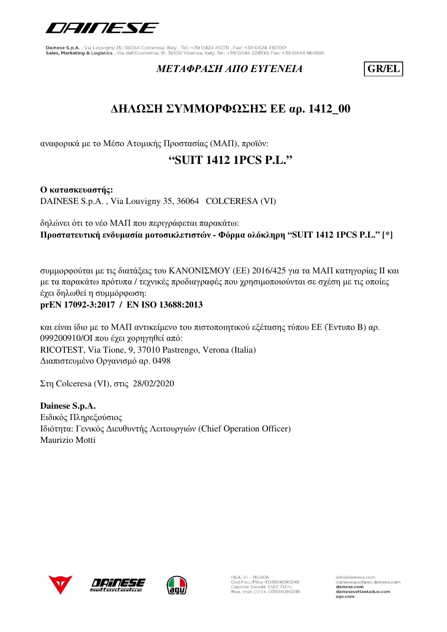

### *ΜΕΤΑΦΡΑΣΗ ΑΠΟ ΕΥΓΕΝΕΙΑ* **GR/EL**

## **ΔΗΛΩΣΗ ΣΥΜΜΟΡΦΩΣΗΣ ΕΕ αρ. 1412\_00**

αναφορικά με το Μέσο Ατομικής Προστασίας (ΜΑΠ), προϊόν:

## **"SUIT 1412 1PCS P.L."**

**Ο κατασκευαστής:** DAINESE S.p.A. , Via Louvigny 35, 36064 COLCERESA (VI)

δηλώνει ότι το νέο ΜΑΠ που περιγράφεται παρακάτω: **Προστατευτική ενδυμασία μοτοσικλετιστών - Φόρμα ολόκληρη "SUIT 1412 1PCS P.L." [\*]**

συμμορφούται με τις διατάξεις του ΚΑΝΟΝΙΣΜΟΥ (ΕΕ) 2016/425 για τα ΜΑΠ κατηγορίας II και με τα παρακάτω πρότυπα / τεχνικές προδιαγραφές που χρησιμοποιούνται σε σχέση με τις οποίες έχει δηλωθεί η συμμόρφωση: **prEN 17092-3:2017 / EN ISO 13688:2013**

και είναι ίδιο με το ΜΑΠ αντικείμενο του πιστοποιητικού εξέτασης τύπου ΕΕ (Έντυπο B) αρ. 099200910/OI που έχει χορηγηθεί από: RICOTEST, Via Tione, 9, 37010 Pastrengo, Verona (Italia) Διαπιστευμένο Οργανισμό αρ. 0498

Στη Colceresa (VI), στις 28/02/2020

**Dainese S.p.A.** Ειδικός Πληρεξούσιος Ιδιότητα: Γενικός Διευθυντής Λειτουργιών (Chief Operation Officer) Maurizio Motti





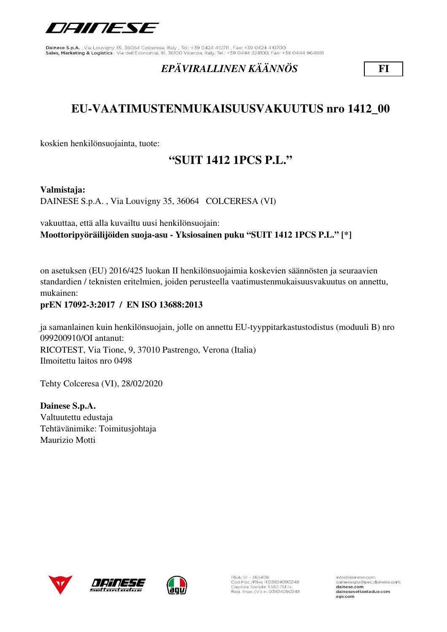

### *EPÄVIRALLINEN KÄÄNNÖS* **FI**

## **EU-VAATIMUSTENMUKAISUUSVAKUUTUS nro 1412\_00**

koskien henkilönsuojainta, tuote:

## **"SUIT 1412 1PCS P.L."**

#### **Valmistaja:**

DAINESE S.p.A. , Via Louvigny 35, 36064 COLCERESA (VI)

vakuuttaa, että alla kuvailtu uusi henkilönsuojain: **Moottoripyöräilijöiden suoja-asu - Yksiosainen puku "SUIT 1412 1PCS P.L." [\*]**

on asetuksen (EU) 2016/425 luokan II henkilönsuojaimia koskevien säännösten ja seuraavien standardien / teknisten eritelmien, joiden perusteella vaatimustenmukaisuusvakuutus on annettu, mukainen:

#### **prEN 17092-3:2017 / EN ISO 13688:2013**

ja samanlainen kuin henkilönsuojain, jolle on annettu EU-tyyppitarkastustodistus (moduuli B) nro 099200910/OI antanut: RICOTEST, Via Tione, 9, 37010 Pastrengo, Verona (Italia) Ilmoitettu laitos nro 0498

Tehty Colceresa (VI), 28/02/2020

**Dainese S.p.A.** Valtuutettu edustaja Tehtävänimike: Toimitusjohtaja Maurizio Motti







REA: VI - 365406<br>Cod.Fisc./P.Iva IT03924090248<br>Capitale Sociale: 1.582.751 I.v. Reg. Impr. (VI) n. 03924090248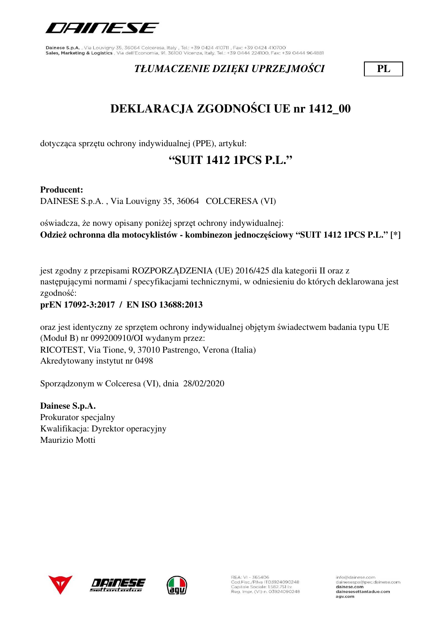

### *TŁUMACZENIE DZIĘKI UPRZEJMOŚCI* **PL**

# **DEKLARACJA ZGODNOŚCI UE nr 1412\_00**

dotycząca sprzętu ochrony indywidualnej (PPE), artykuł:

## **"SUIT 1412 1PCS P.L."**

#### **Producent:**

DAINESE S.p.A. , Via Louvigny 35, 36064 COLCERESA (VI)

oświadcza, że nowy opisany poniżej sprzęt ochrony indywidualnej: **Odzież ochronna dla motocyklistów - kombinezon jednoczęściowy "SUIT 1412 1PCS P.L." [\*]**

jest zgodny z przepisami ROZPORZĄDZENIA (UE) 2016/425 dla kategorii II oraz z następującymi normami / specyfikacjami technicznymi, w odniesieniu do których deklarowana jest zgodność:

#### **prEN 17092-3:2017 / EN ISO 13688:2013**

oraz jest identyczny ze sprzętem ochrony indywidualnej objętym świadectwem badania typu UE (Moduł B) nr 099200910/OI wydanym przez: RICOTEST, Via Tione, 9, 37010 Pastrengo, Verona (Italia) Akredytowany instytut nr 0498

Sporządzonym w Colceresa (VI), dnia 28/02/2020

**Dainese S.p.A.** Prokurator specjalny Kwalifikacja: Dyrektor operacyjny Maurizio Motti







REA: VI - 365406<br>Cod.Fisc./P.Iva IT03924090248<br>Capitale Sociale: 1.582.751 Lv. Reg. Impr. (VI) n. 03924090248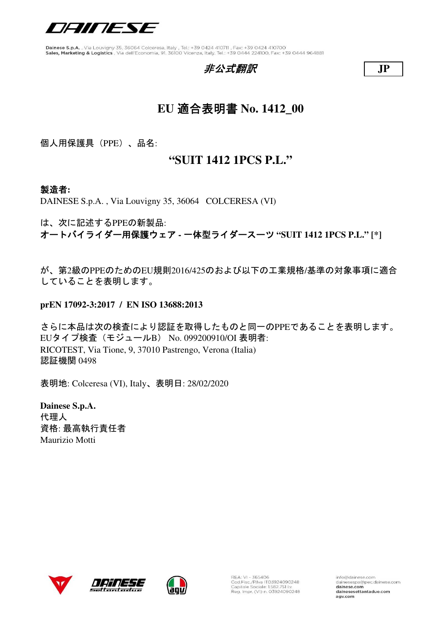

#### 非公式翻訳 **JP**



### **EU** 適合表明書 **No. 1412\_00**

個人用保護具(PPE)、品名:

### **"SUIT 1412 1PCS P.L."**

#### 製造者**:**

DAINESE S.p.A. , Via Louvigny 35, 36064 COLCERESA (VI)

は、次に記述するPPEの新製品:

オートバイライダー用保護ウェア **-** 一体型ライダースーツ **"SUIT 1412 1PCS P.L." [\*]**

が、第2級のPPEのためのEU規則2016/425のおよび以下の工業規格/基準の対象事項に適合 していることを表明します。

**prEN 17092-3:2017 / EN ISO 13688:2013**

さらに本品は次の検査により認証を取得したものと同一のPPEであることを表明します。 EUタイプ検査(モジュールB) No. 099200910/OI 表明者: RICOTEST, Via Tione, 9, 37010 Pastrengo, Verona (Italia) 認証機関 0498

表明地: Colceresa (VI), Italy、表明日: 28/02/2020

**Dainese S.p.A.** 代理人 資格: 最高執行責任者 Maurizio Motti





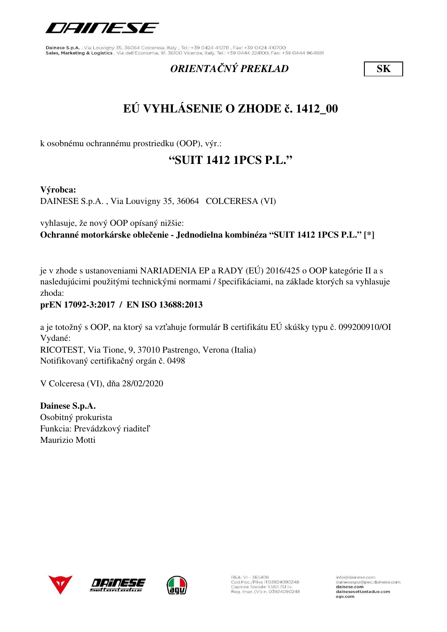

### *ORIENTAČNÝ PREKLAD* **SK**

# **EÚ VYHLÁSENIE O ZHODE č. 1412\_00**

k osobnému ochrannému prostriedku (OOP), výr.:

## **"SUIT 1412 1PCS P.L."**

#### **Výrobca:**

DAINESE S.p.A. , Via Louvigny 35, 36064 COLCERESA (VI)

vyhlasuje, že nový OOP opísaný nižšie: **Ochranné motorkárske oblečenie - Jednodielna kombinéza "SUIT 1412 1PCS P.L." [\*]**

je v zhode s ustanoveniami NARIADENIA EP a RADY (EÚ) 2016/425 o OOP kategórie II a s nasledujúcimi použitými technickými normami / špecifikáciami, na základe ktorých sa vyhlasuje zhoda:

#### **prEN 17092-3:2017 / EN ISO 13688:2013**

a je totožný s OOP, na ktorý sa vzťahuje formulár B certifikátu EÚ skúšky typu č. 099200910/OI Vydané: RICOTEST, Via Tione, 9, 37010 Pastrengo, Verona (Italia) Notifikovaný certifikačný orgán č. 0498

V Colceresa (VI), dňa 28/02/2020

**Dainese S.p.A.** Osobitný prokurista Funkcia: Prevádzkový riaditeľ Maurizio Motti







REA: VI - 365406<br>Cod.Fisc./P.Iva IT03924090248<br>Capitale Sociale: 1.582.751 Lv. Reg. Impr. (VI) n. 03924090248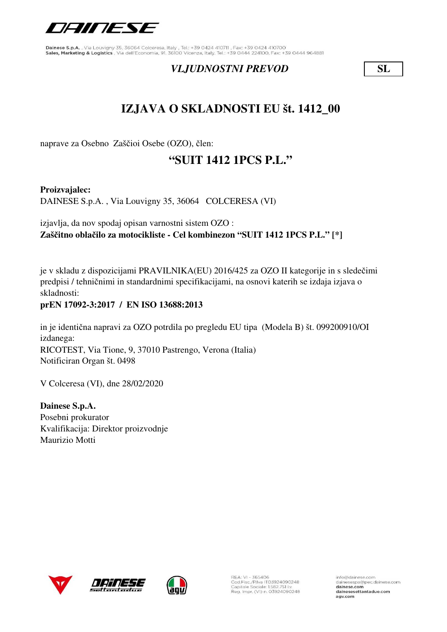

#### *VLJUDNOSTNI PREVOD* **SL**

## **IZJAVA O SKLADNOSTI EU št. 1412\_00**

naprave za Osebno Zaščioi Osebe (OZO), člen:

## **"SUIT 1412 1PCS P.L."**

#### **Proizvajalec:**

DAINESE S.p.A. , Via Louvigny 35, 36064 COLCERESA (VI)

izjavlja, da nov spodaj opisan varnostni sistem OZO : **Zaščitno oblačilo za motocikliste - Cel kombinezon "SUIT 1412 1PCS P.L." [\*]**

je v skladu z dispozicijami PRAVILNIKA(EU) 2016/425 za OZO II kategorije in s sledečimi predpisi / tehničnimi in standardnimi specifikacijami, na osnovi katerih se izdaja izjava o skladnosti:

#### **prEN 17092-3:2017 / EN ISO 13688:2013**

RICOTEST, Via Tione, 9, 37010 Pastrengo, Verona (Italia) Notificiran Organ št. 0498 in je identična napravi za OZO potrdila po pregledu EU tipa (Modela B) št. 099200910/OI izdanega:

V Colceresa (VI), dne 28/02/2020

**Dainese S.p.A.** Posebni prokurator Kvalifikacija: Direktor proizvodnje Maurizio Motti





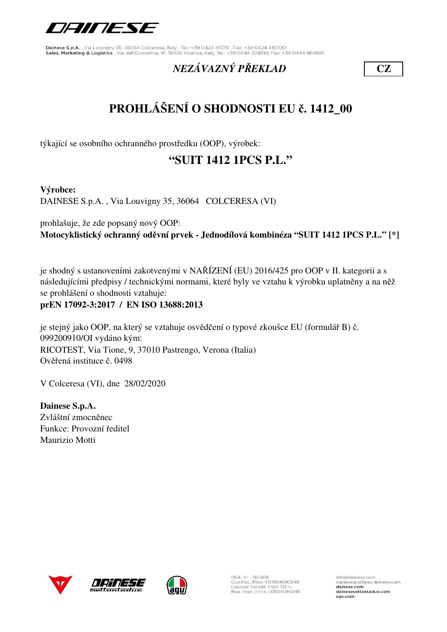

### *NEZÁVAZNÝ PŘEKLAD* **CZ**

# **PROHLÁŠENÍ O SHODNOSTI EU č. 1412\_00**

týkající se osobního ochranného prostředku (OOP), výrobek:

## **"SUIT 1412 1PCS P.L."**

**Výrobce:**

DAINESE S.p.A. , Via Louvigny 35, 36064 COLCERESA (VI)

prohlašuje, že zde popsaný nový OOP: **Motocyklistický ochranný oděvní prvek - Jednodílová kombinéza "SUIT 1412 1PCS P.L." [\*]**

je shodný s ustanoveními zakotvenými v NAŘÍZENÍ (EU) 2016/425 pro OOP v II. kategorii a s následujícími předpisy / technickými normami, které byly ve vztahu k výrobku uplatněny a na něž se prohlášení o shodnosti vztahuje:

#### **prEN 17092-3:2017 / EN ISO 13688:2013**

je stejný jako OOP, na který se vztahuje osvědčení o typové zkoušce EU (formulář B) č. 099200910/OI vydáno kým: RICOTEST, Via Tione, 9, 37010 Pastrengo, Verona (Italia) Ověřená instituce č. 0498

V Colceresa (VI), dne 28/02/2020

**Dainese S.p.A.** Zvláštní zmocněnec Funkce: Provozní ředitel Maurizio Motti





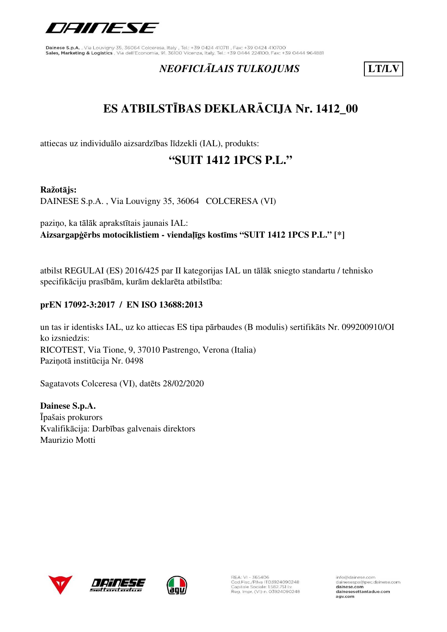

### *NEOFICIĀLAIS TULKOJUMS* **LT/LV**

# **ES ATBILSTĪBAS DEKLARĀCIJA Nr. 1412\_00**

attiecas uz individuālo aizsardzības līdzekli (IAL), produkts:

## **"SUIT 1412 1PCS P.L."**

#### **Ražotājs:**

DAINESE S.p.A. , Via Louvigny 35, 36064 COLCERESA (VI)

paziņo, ka tālāk aprakstītais jaunais IAL: **Aizsargapģērbs motociklistiem - viendaļīgs kostīms "SUIT 1412 1PCS P.L." [\*]**

atbilst REGULAI (ES) 2016/425 par II kategorijas IAL un tālāk sniegto standartu / tehnisko specifikāciju prasībām, kurām deklarēta atbilstība:

#### **prEN 17092-3:2017 / EN ISO 13688:2013**

un tas ir identisks IAL, uz ko attiecas ES tipa pārbaudes (B modulis) sertifikāts Nr. 099200910/OI ko izsniedzis: RICOTEST, Via Tione, 9, 37010 Pastrengo, Verona (Italia) Paziņotā institūcija Nr. 0498

Sagatavots Colceresa (VI), datēts 28/02/2020

**Dainese S.p.A.** Īpašais prokurors Kvalifikācija: Darbības galvenais direktors Maurizio Motti







REA: VI - 365406<br>Cod.Fisc./P.Iva IT03924090248<br>Capitale Sociale: 1.582.751 Lv. Reg. Impr. (VI) n. 03924090248